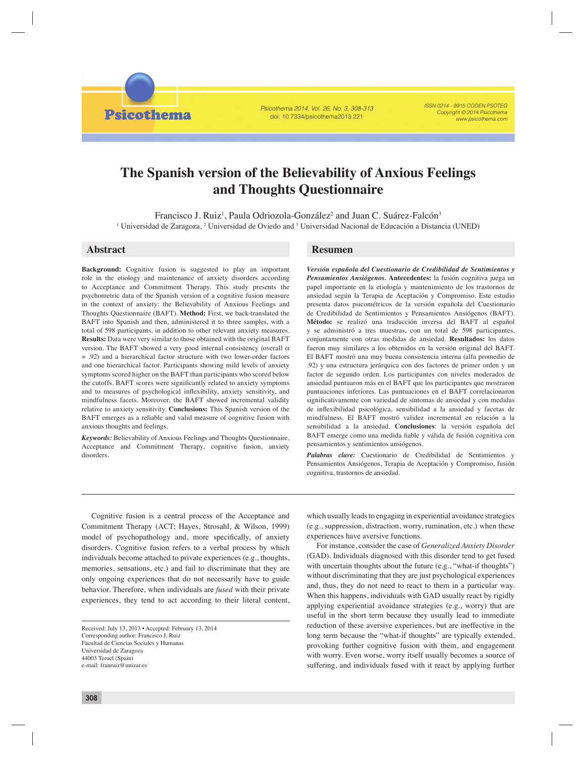Psicothema 2014, Vol. 26, No. 3, 308-313 doi: 10.7334/psicothema2013.221

ISSN 0214 - 9915 CODEN PSOTEG Copyright © 2014 Psicothema www.psicothema.com

# **The Spanish version of the Believability of Anxious Feelings and Thoughts Questionnaire**

Francisco J. Ruiz<sup>1</sup>, Paula Odriozola-González<sup>2</sup> and Juan C. Suárez-Falcón<sup>3</sup> <sup>1</sup> Universidad de Zaragoza, <sup>2</sup> Universidad de Oviedo and <sup>3</sup> Universidad Nacional de Educación a Distancia (UNED)

# **Abstract Resumen**

**Psicothema** 

**Background:** Cognitive fusion is suggested to play an important role in the etiology and maintenance of anxiety disorders according to Acceptance and Commitment Therapy. This study presents the psychometric data of the Spanish version of a cognitive fusion measure in the context of anxiety: the Believability of Anxious Feelings and Thoughts Questionnaire (BAFT). **Method:** First, we back-translated the BAFT into Spanish and then, administered it to three samples, with a total of 598 participants, in addition to other relevant anxiety measures. **Results:** Data were very similar to those obtained with the original BAFT version. The BAFT showed a very good internal consistency (overall  $\alpha$ = .92) and a hierarchical factor structure with two lower-order factors and one hierarchical factor. Participants showing mild levels of anxiety symptoms scored higher on the BAFT than participants who scored below the cutoffs. BAFT scores were significantly related to anxiety symptoms and to measures of psychological inflexibility, anxiety sensitivity, and mindfulness facets. Moreover, the BAFT showed incremental validity relative to anxiety sensitivity. **Conclusions:** This Spanish version of the BAFT emerges as a reliable and valid measure of cognitive fusion with anxious thoughts and feelings.

*Keywords:* Believability of Anxious Feelings and Thoughts Questionnaire, Acceptance and Commitment Therapy, cognitive fusion, anxiety disorders.

*Versión española del Cuestionario de Credibilidad de Sentimientos y Pensamientos Ansiógenos.* **Antecedentes:** la fusión cognitiva juega un papel importante en la etiología y mantenimiento de los trastornos de ansiedad según la Terapia de Aceptación y Compromiso. Este estudio presenta datos psicométricos de la versión española del Cuestionario de Credibilidad de Sentimientos y Pensamientos Ansiógenos (BAFT). **Método:** se realizó una traducción inversa del BAFT al español y se administró a tres muestras, con un total de 598 participantes, conjuntamente con otras medidas de ansiedad. **Resultados:** los datos fueron muy similares a los obtenidos en la versión original del BAFT. El BAFT mostró una muy buena consistencia interna (alfa promedio de .92) y una estructura jerárquica con dos factores de primer orden y un factor de segundo orden. Los participantes con niveles moderados de ansiedad puntuaron más en el BAFT que los participantes que mostraron puntuaciones inferiores. Las puntuaciones en el BAFT correlacionaron significativamente con variedad de síntomas de ansiedad y con medidas de infl exibilidad psicológica, sensibilidad a la ansiedad y facetas de mindfulness. El BAFT mostró validez incremental en relación a la sensibilidad a la ansiedad. **Conclusiones**: la versión española del BAFT emerge como una medida fiable y válida de fusión cognitiva con pensamientos y sentimientos ansiógenos.

*Palabras clave:* Cuestionario de Credibilidad de Sentimientos y Pensamientos Ansiógenos, Terapia de Aceptación y Compromiso, fusión cognitiva, trastornos de ansiedad.

Cognitive fusion is a central process of the Acceptance and Commitment Therapy (ACT; Hayes, Strosahl, & Wilson, 1999) model of psychopathology and, more specifically, of anxiety disorders. Cognitive fusion refers to a verbal process by which individuals become attached to private experiences (e.g., thoughts, memories, sensations, etc.) and fail to discriminate that they are only ongoing experiences that do not necessarily have to guide behavior. Therefore, when individuals are *fused* with their private experiences, they tend to act according to their literal content,

which usually leads to engaging in experiential avoidance strategies (e.g., suppression, distraction, worry, rumination, etc.) when these experiences have aversive functions.

For instance, consider the case of *Generalized Anxiety Disorder* (GAD). Individuals diagnosed with this disorder tend to get fused with uncertain thoughts about the future (e.g., "what-if thoughts") without discriminating that they are just psychological experiences and, thus, they do not need to react to them in a particular way. When this happens, individuals with GAD usually react by rigidly applying experiential avoidance strategies (e.g., worry) that are useful in the short term because they usually lead to immediate reduction of these aversive experiences, but are ineffective in the long term because the "what-if thoughts" are typically extended, provoking further cognitive fusion with them, and engagement with worry. Even worse, worry itself usually becomes a source of suffering, and individuals fused with it react by applying further

Received: July 13, 2013 • Accepted: February 13, 2014 Corresponding author: Francisco J. Ruiz Facultad de Ciencias Sociales y Humanas Universidad de Zaragoza 44003 Teruel (Spain) e-mail: franruiz@unizar.es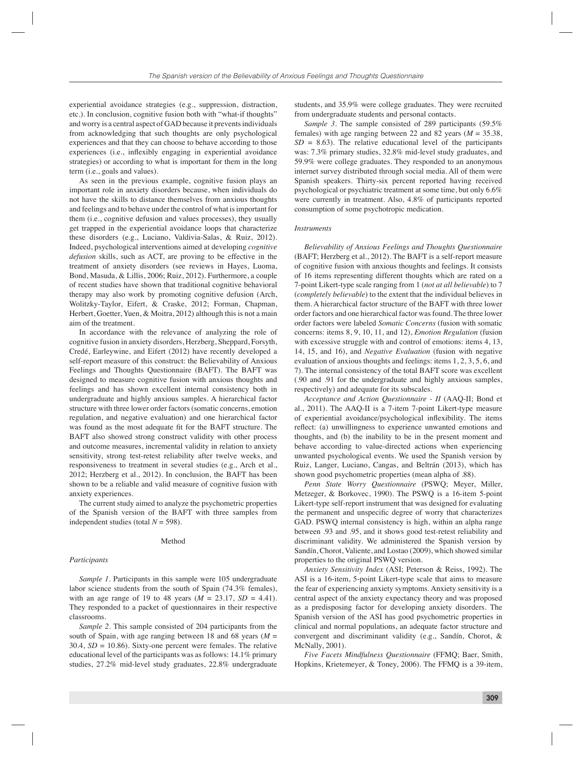experiential avoidance strategies (e.g., suppression, distraction, etc.). In conclusion, cognitive fusion both with "what-if thoughts" and worry is a central aspect of GAD because it prevents individuals from acknowledging that such thoughts are only psychological experiences and that they can choose to behave according to those experiences (i.e., inflexibly engaging in experiential avoidance strategies) or according to what is important for them in the long term (i.e., goals and values).

As seen in the previous example, cognitive fusion plays an important role in anxiety disorders because, when individuals do not have the skills to distance themselves from anxious thoughts and feelings and to behave under the control of what is important for them (i.e., cognitive defusion and values processes), they usually get trapped in the experiential avoidance loops that characterize these disorders (e.g., Luciano, Valdivia-Salas, & Ruiz, 2012). Indeed, psychological interventions aimed at developing *cognitive defusion* skills, such as ACT, are proving to be effective in the treatment of anxiety disorders (see reviews in Hayes, Luoma, Bond, Masuda, & Lillis, 2006; Ruiz, 2012). Furthermore, a couple of recent studies have shown that traditional cognitive behavioral therapy may also work by promoting cognitive defusion (Arch, Wolitzky-Taylor, Eifert, & Craske, 2012; Forman, Chapman, Herbert, Goetter, Yuen, & Moitra, 2012) although this is not a main aim of the treatment.

In accordance with the relevance of analyzing the role of cognitive fusion in anxiety disorders, Herzberg, Sheppard, Forsyth, Credé, Earleywine, and Eifert (2012) have recently developed a self-report measure of this construct: the Believability of Anxious Feelings and Thoughts Questionnaire (BAFT). The BAFT was designed to measure cognitive fusion with anxious thoughts and feelings and has shown excellent internal consistency both in undergraduate and highly anxious samples. A hierarchical factor structure with three lower order factors (somatic concerns, emotion regulation, and negative evaluation) and one hierarchical factor was found as the most adequate fit for the BAFT structure. The BAFT also showed strong construct validity with other process and outcome measures, incremental validity in relation to anxiety sensitivity, strong test-retest reliability after twelve weeks, and responsiveness to treatment in several studies (e.g., Arch et al., 2012; Herzberg et al., 2012). In conclusion, the BAFT has been shown to be a reliable and valid measure of cognitive fusion with anxiety experiences.

The current study aimed to analyze the psychometric properties of the Spanish version of the BAFT with three samples from independent studies (total  $N = 598$ ).

# Method

#### *Participants*

*Sample 1*. Participants in this sample were 105 undergraduate labor science students from the south of Spain (74.3% females), with an age range of 19 to 48 years (*M* = 23.17, *SD* = 4.41). They responded to a packet of questionnaires in their respective classrooms.

*Sample 2.* This sample consisted of 204 participants from the south of Spain, with age ranging between 18 and 68 years (*M* = 30.4, *SD* = 10.86). Sixty-one percent were females. The relative educational level of the participants was as follows: 14.1% primary studies, 27.2% mid-level study graduates, 22.8% undergraduate

students, and 35.9% were college graduates. They were recruited from undergraduate students and personal contacts.

*Sample 3.* The sample consisted of 289 participants (59.5% females) with age ranging between 22 and 82 years (*M* = 35.38,  $SD = 8.63$ ). The relative educational level of the participants was: 7.3% primary studies, 32.8% mid-level study graduates, and 59.9% were college graduates. They responded to an anonymous internet survey distributed through social media. All of them were Spanish speakers. Thirty-six percent reported having received psychological or psychiatric treatment at some time, but only 6.6% were currently in treatment. Also, 4.8% of participants reported consumption of some psychotropic medication.

#### *Instruments*

*Believability of Anxious Feelings and Thoughts Questionnaire*  (BAFT; Herzberg et al., 2012). The BAFT is a self-report measure of cognitive fusion with anxious thoughts and feelings. It consists of 16 items representing different thoughts which are rated on a 7-point Likert-type scale ranging from 1 (*not at all believable*) to 7 (*completely believable*) to the extent that the individual believes in them. A hierarchical factor structure of the BAFT with three lower order factors and one hierarchical factor was found. The three lower order factors were labeled *Somatic Concerns* (fusion with somatic concerns: items 8, 9, 10, 11, and 12), *Emotion Regulation* (fusion with excessive struggle with and control of emotions: items 4, 13, 14, 15, and 16), and *Negative Evaluation* (fusion with negative evaluation of anxious thoughts and feelings: items 1, 2, 3, 5, 6, and 7). The internal consistency of the total BAFT score was excellent (.90 and .91 for the undergraduate and highly anxious samples, respectively) and adequate for its subscales.

*Acceptance and Action Questionnaire - II* (AAQ-II; Bond et al., 2011). The AAQ-II is a 7-item 7-point Likert-type measure of experiential avoidance/psychological inflexibility. The items reflect: (a) unwillingness to experience unwanted emotions and thoughts, and (b) the inability to be in the present moment and behave according to value-directed actions when experiencing unwanted psychological events. We used the Spanish version by Ruiz, Langer, Luciano, Cangas, and Beltrán (2013), which has shown good psychometric properties (mean alpha of .88).

*Penn State Worry Questionnaire* (PSWQ; Meyer, Miller, Metzeger, & Borkovec, 1990). The PSWQ is a 16-item 5-point Likert-type self-report instrument that was designed for evaluating the permanent and unspecific degree of worry that characterizes GAD. PSWQ internal consistency is high, within an alpha range between .93 and .95, and it shows good test-retest reliability and discriminant validity. We administered the Spanish version by Sandín, Chorot, Valiente, and Lostao (2009), which showed similar properties to the original PSWQ version.

*Anxiety Sensitivity Index* (ASI; Peterson & Reiss, 1992). The ASI is a 16-item, 5-point Likert-type scale that aims to measure the fear of experiencing anxiety symptoms. Anxiety sensitivity is a central aspect of the anxiety expectancy theory and was proposed as a predisposing factor for developing anxiety disorders. The Spanish version of the ASI has good psychometric properties in clinical and normal populations, an adequate factor structure and convergent and discriminant validity (e.g., Sandín, Chorot, & McNally, 2001).

*Five Facets Mindfulness Questionnaire* (FFMQ; Baer, Smith, Hopkins, Krietemeyer, & Toney, 2006). The FFMQ is a 39-item,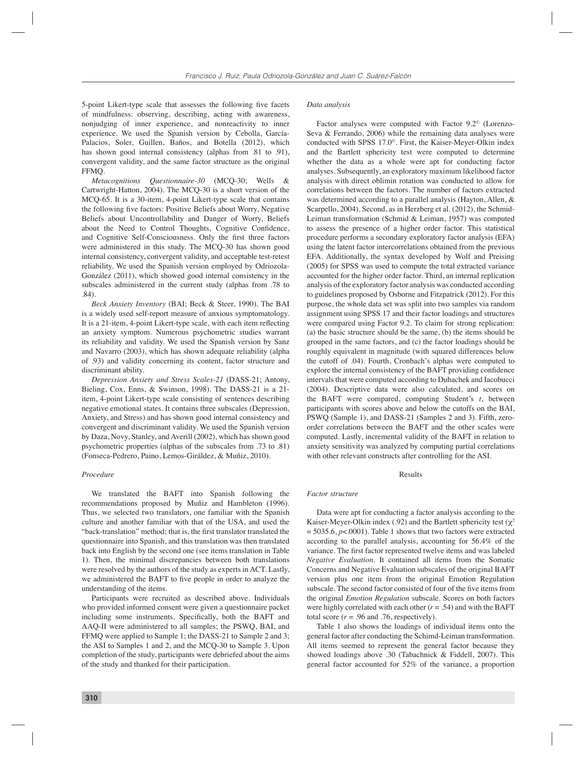5-point Likert-type scale that assesses the following five facets of mindfulness: observing, describing, acting with awareness, nonjudging of inner experience, and nonreactivity to inner experience. We used the Spanish version by Cebolla, García-Palacios, Soler, Guillen, Baños, and Botella (2012), which has shown good internal consistency (alphas from .81 to .91). convergent validity, and the same factor structure as the original FFMQ.

*Metacognitions Questionnaire-30* (MCQ-30; Wells & Cartwright-Hatton, 2004). The MCQ-30 is a short version of the MCQ-65. It is a 30-item, 4-point Likert-type scale that contains the following five factors: Positive Beliefs about Worry, Negative Beliefs about Uncontrollability and Danger of Worry, Beliefs about the Need to Control Thoughts, Cognitive Confidence, and Cognitive Self-Consciousness. Only the first three factors were administered in this study. The MCQ-30 has shown good internal consistency, convergent validity, and acceptable test-retest reliability. We used the Spanish version employed by Odriozola-González (2011), which showed good internal consistency in the subscales administered in the current study (alphas from .78 to .84).

*Beck Anxiety Inventory* (BAI; Beck & Steer, 1990). The BAI is a widely used self-report measure of anxious symptomatology. It is a 21-item, 4-point Likert-type scale, with each item reflecting an anxiety symptom. Numerous psychometric studies warrant its reliability and validity. We used the Spanish version by Sanz and Navarro (2003), which has shown adequate reliability (alpha of .93) and validity concerning its content, factor structure and discriminant ability.

*Depression Anxiety and Stress Scales-21* (DASS-21; Antony, Bieling, Cox, Enns, & Swinson, 1998). The DASS-21 is a 21 item, 4-point Likert-type scale consisting of sentences describing negative emotional states. It contains three subscales (Depression, Anxiety, and Stress) and has shown good internal consistency and convergent and discriminant validity. We used the Spanish version by Daza, Novy, Stanley, and Averill (2002), which has shown good psychometric properties (alphas of the subscales from .73 to .81) (Fonseca-Pedrero, Paino, Lemos-Giráldez, & Muñiz, 2010).

#### *Procedure*

We translated the BAFT into Spanish following the recommendations proposed by Muñiz and Hambleton (1996). Thus, we selected two translators, one familiar with the Spanish culture and another familiar with that of the USA, and used the "back-translation" method; that is, the first translator translated the questionnaire into Spanish, and this translation was then translated back into English by the second one (see items translation in Table 1). Then, the minimal discrepancies between both translations were resolved by the authors of the study as experts in ACT. Lastly, we administered the BAFT to five people in order to analyze the understanding of the items.

Participants were recruited as described above. Individuals who provided informed consent were given a questionnaire packet including some instruments. Specifically, both the BAFT and AAQ-II were administered to all samples; the PSWQ, BAI, and FFMQ were applied to Sample 1; the DASS-21 to Sample 2 and 3; the ASI to Samples 1 and 2, and the MCQ-30 to Sample 3. Upon completion of the study, participants were debriefed about the aims of the study and thanked for their participation.

## *Data analysis*

Factor analyses were computed with Factor 9.2© (Lorenzo-Seva & Ferrando, 2006) while the remaining data analyses were conducted with SPSS 17.0©. First, the Kaiser-Meyer-Olkin index and the Bartlett sphericity test were computed to determine whether the data as a whole were apt for conducting factor analyses. Subsequently, an exploratory maximum likelihood factor analysis with direct oblimin rotation was conducted to allow for correlations between the factors. The number of factors extracted was determined according to a parallel analysis (Hayton, Allen, & Scarpello, 2004). Second, as in Herzberg et al. (2012), the Schmid-Leiman transformation (Schmid & Leiman, 1957) was computed to assess the presence of a higher order factor. This statistical procedure performs a secondary exploratory factor analysis (EFA) using the latent factor intercorrelations obtained from the previous EFA. Additionally, the syntax developed by Wolf and Preising (2005) for SPSS was used to compute the total extracted variance accounted for the higher order factor. Third, an internal replication analysis of the exploratory factor analysis was conducted according to guidelines proposed by Osborne and Fitzpatrick (2012). For this purpose, the whole data set was split into two samples via random assignment using SPSS 17 and their factor loadings and structures were compared using Factor 9.2. To claim for strong replication: (a) the basic structure should be the same, (b) the items should be grouped in the same factors, and (c) the factor loadings should be roughly equivalent in magnitude (with squared differences below the cutoff of .04). Fourth, Cronbach's alphas were computed to explore the internal consistency of the BAFT providing confidence intervals that were computed according to Duhachek and Iacobucci (2004). Descriptive data were also calculated, and scores on the BAFT were compared, computing Student's *t*, between participants with scores above and below the cutoffs on the BAI, PSWQ (Sample 1), and DASS-21 (Samples 2 and 3). Fifth, zeroorder correlations between the BAFT and the other scales were computed. Lastly, incremental validity of the BAFT in relation to anxiety sensitivity was analyzed by computing partial correlations with other relevant constructs after controlling for the ASI.

## Results

#### *Factor structure*

Data were apt for conducting a factor analysis according to the Kaiser-Meyer-Olkin index (.92) and the Bartlett sphericity test ( $\chi^2$  $= 5035.6, p<0.001$ ). Table 1 shows that two factors were extracted according to the parallel analysis, accounting for 56.4% of the variance. The first factor represented twelve items and was labeled *Negative Evaluation*. It contained all items from the Somatic Concerns and Negative Evaluation subscales of the original BAFT version plus one item from the original Emotion Regulation subscale. The second factor consisted of four of the five items from the original *Emotion Regulation* subscale. Scores on both factors were highly correlated with each other  $(r = .54)$  and with the BAFT total score  $(r = .96$  and .76, respectively).

Table 1 also shows the loadings of individual items onto the general factor after conducting the Schimd-Leiman transformation. All items seemed to represent the general factor because they showed loadings above .30 (Tabachnick & Fiddell, 2007). This general factor accounted for 52% of the variance, a proportion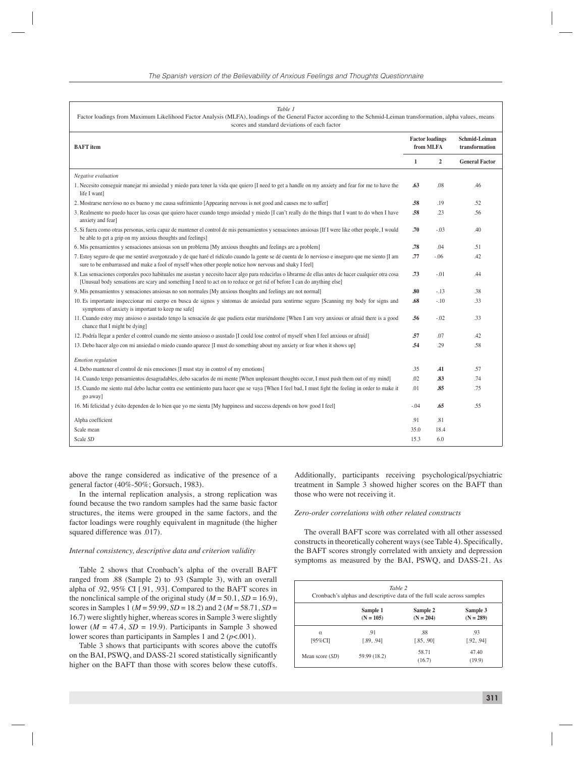| Table 1<br>Factor loadings from Maximum Likelihood Factor Analysis (MLFA), loadings of the General Factor according to the Schmid-Leiman transformation, alpha values, means<br>scores and standard deviations of each factor                                                     |                                     |                |                                        |  |  |
|-----------------------------------------------------------------------------------------------------------------------------------------------------------------------------------------------------------------------------------------------------------------------------------|-------------------------------------|----------------|----------------------------------------|--|--|
| <b>BAFT</b> item                                                                                                                                                                                                                                                                  | <b>Factor loadings</b><br>from MLFA |                | <b>Schmid-Leiman</b><br>transformation |  |  |
|                                                                                                                                                                                                                                                                                   | $\mathbf{1}$                        | $\overline{2}$ | <b>General Factor</b>                  |  |  |
| Negative evaluation                                                                                                                                                                                                                                                               |                                     |                |                                        |  |  |
| 1. Necesito conseguir manejar mi ansiedad y miedo para tener la vida que quiero [I need to get a handle on my anxiety and fear for me to have the<br>life I want]                                                                                                                 | .63                                 | .08            | .46                                    |  |  |
| 2. Mostrarse nervioso no es bueno y me causa sufrimiento [Appearing nervous is not good and causes me to suffer]                                                                                                                                                                  | .58                                 | .19            | .52                                    |  |  |
| 3. Realmente no puedo hacer las cosas que quiero hacer cuando tengo ansiedad y miedo [I can't really do the things that I want to do when I have<br>anxiety and fear]                                                                                                             | .58                                 | .23            | .56                                    |  |  |
| 5. Si fuera como otras personas, sería capaz de mantener el control de mis pensamientos y sensaciones ansiosas [If I were like other people, I would<br>be able to get a grip on my anxious thoughts and feelings]                                                                | .70                                 | $-.03$         | .40                                    |  |  |
| 6. Mis pensamientos y sensaciones ansiosas son un problema [My anxious thoughts and feelings are a problem]                                                                                                                                                                       | .78                                 | .04            | .51                                    |  |  |
| 7. Estoy seguro de que me sentiré avergonzado y de que haré el ridículo cuando la gente se dé cuenta de lo nervioso e inseguro que me siento [I am<br>sure to be embarrassed and make a fool of myself when other people notice how nervous and shaky I feel]                     | .77                                 | $-.06$         | .42                                    |  |  |
| 8. Las sensaciones corporales poco habituales me asustan y necesito hacer algo para reducirlas o librarme de ellas antes de hacer cualquier otra cosa<br>[Unusual body sensations are scary and something I need to act on to reduce or get rid of before I can do anything else] | .73                                 | $-.01$         | .44                                    |  |  |
| 9. Mis pensamientos y sensaciones ansiosas no son normales [My anxious thoughts and feelings are not normal]                                                                                                                                                                      | .80                                 | $-.13$         | .38                                    |  |  |
| 10. Es importante inspeccionar mi cuerpo en busca de signos y síntomas de ansiedad para sentirme seguro [Scanning my body for signs and<br>symptoms of anxiety is important to keep me safe]                                                                                      | .68                                 | $-.10$         | .33                                    |  |  |
| 11. Cuando estoy muy ansioso o asustado tengo la sensación de que pudiera estar muriéndome [When I am very anxious or afraid there is a good<br>chance that I might be dying]                                                                                                     | .56                                 | $-.02$         | .33                                    |  |  |
| 12. Podría llegar a perder el control cuando me siento ansioso o asustado [I could lose control of myself when I feel anxious or afraid]                                                                                                                                          | .57                                 | .07            | .42                                    |  |  |
| 13. Debo hacer algo con mi ansiedad o miedo cuando aparece [I must do something about my anxiety or fear when it shows up]                                                                                                                                                        | .54                                 | .29            | .58                                    |  |  |
| Emotion regulation                                                                                                                                                                                                                                                                |                                     |                |                                        |  |  |
| 4. Debo mantener el control de mis emociones [I must stay in control of my emotions]                                                                                                                                                                                              | .35                                 | .41            | .57                                    |  |  |
| 14. Cuando tengo pensamientos desagradables, debo sacarlos de mi mente [When unpleasant thoughts occur, I must push them out of my mind]                                                                                                                                          | .02                                 | .83            | .74                                    |  |  |
| 15. Cuando me siento mal debo luchar contra ese sentimiento para hacer que se vaya [When I feel bad, I must fight the feeling in order to make it<br>go away]                                                                                                                     | .01                                 | .85            | .75                                    |  |  |
| 16. Mi felicidad y éxito dependen de lo bien que yo me sienta [My happiness and success depends on how good I feel]                                                                                                                                                               | $-.04$                              | .65            | .55                                    |  |  |
| Alpha coefficient                                                                                                                                                                                                                                                                 | .91                                 | .81            |                                        |  |  |
| Scale mean                                                                                                                                                                                                                                                                        | 35.0                                | 18.4           |                                        |  |  |
| Scale SD                                                                                                                                                                                                                                                                          | 15.3                                | 6.0            |                                        |  |  |

above the range considered as indicative of the presence of a general factor (40%-50%; Gorsuch, 1983).

In the internal replication analysis, a strong replication was found because the two random samples had the same basic factor structures, the items were grouped in the same factors, and the factor loadings were roughly equivalent in magnitude (the higher squared difference was .017).

#### *Internal consistency, descriptive data and criterion validity*

Table 2 shows that Cronbach's alpha of the overall BAFT ranged from .88 (Sample 2) to .93 (Sample 3), with an overall alpha of .92, 95% CI [.91, .93]. Compared to the BAFT scores in the nonclinical sample of the original study ( $M = 50.1$ ,  $SD = 16.9$ ), scores in Samples 1 (*M* = 59.99, *SD* = 18.2) and 2 (*M* = 58.71, *SD* = 16.7) were slightly higher, whereas scores in Sample 3 were slightly lower ( $M = 47.4$ ,  $SD = 19.9$ ). Participants in Sample 3 showed lower scores than participants in Samples 1 and 2 (*p*<.001).

Table 3 shows that participants with scores above the cutoffs on the BAI, PSWQ, and DASS-21 scored statistically significantly higher on the BAFT than those with scores below these cutoffs. Additionally, participants receiving psychological/psychiatric treatment in Sample 3 showed higher scores on the BAFT than those who were not receiving it.

# *Zero-order correlations with other related constructs*

The overall BAFT score was correlated with all other assessed constructs in theoretically coherent ways (see Table 4). Specifically, the BAFT scores strongly correlated with anxiety and depression symptoms as measured by the BAI, PSWQ, and DASS-21. As

| Table 2<br>Cronbach's alphas and descriptive data of the full scale across samples |              |                 |                 |  |
|------------------------------------------------------------------------------------|--------------|-----------------|-----------------|--|
|                                                                                    | Sample 1     | Sample 2        | Sample 3        |  |
|                                                                                    | $(N = 105)$  | $(N = 204)$     | $(N = 289)$     |  |
| $\alpha$                                                                           | .91          | .88             | .93             |  |
| [95%CI]                                                                            | [.89, .94]   | [.85, .90]      | [.92, .94]      |  |
| Mean score $(SD)$                                                                  | 59.99 (18.2) | 58.71<br>(16.7) | 47.40<br>(19.9) |  |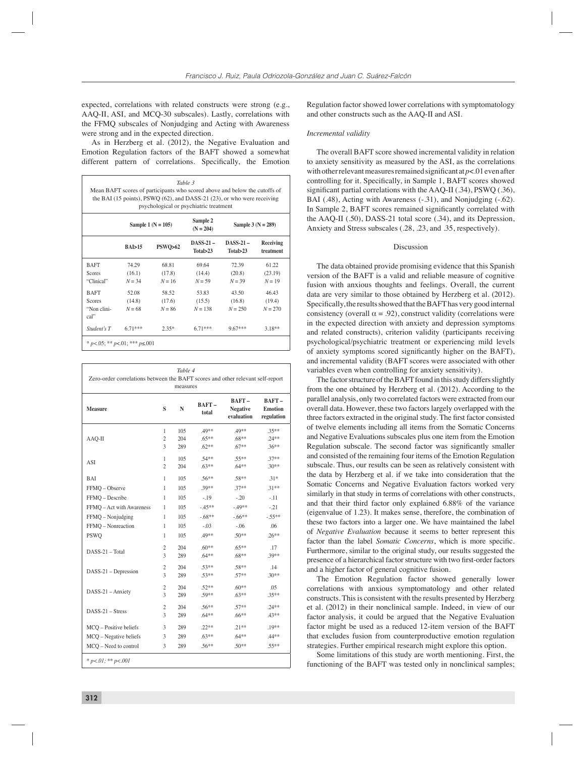expected, correlations with related constructs were strong (e.g., AAQ-II, ASI, and MCQ-30 subscales). Lastly, correlations with the FFMQ subscales of Nonjudging and Acting with Awareness were strong and in the expected direction.

As in Herzberg et al. (2012), the Negative Evaluation and Emotion Regulation factors of the BAFT showed a somewhat different pattern of correlations. Specifically, the Emotion

| Table 3<br>Mean BAFT scores of participants who scored above and below the cutoffs of<br>the BAI (15 points), PSWO $(62)$ , and DASS-21 $(23)$ , or who were receiving<br>psychological or psychiatric treatment |                        |                   |                          |                           |                        |
|------------------------------------------------------------------------------------------------------------------------------------------------------------------------------------------------------------------|------------------------|-------------------|--------------------------|---------------------------|------------------------|
|                                                                                                                                                                                                                  | Sample 1 ( $N = 105$ ) |                   | Sample 2<br>$(N = 204)$  | Sample $3 (N = 289)$      |                        |
|                                                                                                                                                                                                                  | BAI>15                 | <b>PSWO&gt;62</b> | $DASS-21-$<br>Total > 23 | $DASS-21$ –<br>Total > 23 | Receiving<br>treatment |
| <b>BAFT</b>                                                                                                                                                                                                      | 74 29                  | 68.81             | 69.64                    | 72.39                     | 61.22                  |
| Scores                                                                                                                                                                                                           | (16.1)                 | (17.8)            | (14.4)                   | (20.8)                    | (23.19)                |
| "Clinical"                                                                                                                                                                                                       | $N = 34$               | $N = 16$          | $N = 59$                 | $N = 39$                  | $N = 19$               |
| <b>BAFT</b>                                                                                                                                                                                                      | 52.08                  | 58.52             | 53.83                    | 43.50                     | 46.43                  |
| Scores                                                                                                                                                                                                           | (14.8)                 | (17.6)            | (15.5)                   | (16.8)                    | (19.4)                 |
| "Non clini-<br>cal"                                                                                                                                                                                              | $N = 68$               | $N = 86$          | $N = 138$                | $N = 250$                 | $N = 270$              |
| Student's T                                                                                                                                                                                                      | $671***$               | $2.35*$           | $671***$                 | $9.67***$                 | $3.18**$               |
| * $p < 0.05$ ; ** $p < 0.1$ ; *** $p \le 0.001$                                                                                                                                                                  |                        |                   |                          |                           |                        |

| Table 4<br>Zero-order correlations between the BAFT scores and other relevant self-report<br>measures |                     |            |                    |                                        |                                       |
|-------------------------------------------------------------------------------------------------------|---------------------|------------|--------------------|----------------------------------------|---------------------------------------|
| <b>Measure</b>                                                                                        | S                   | N          | $BAFT-$<br>total   | BAFT-<br><b>Negative</b><br>evaluation | BAFT-<br><b>Emotion</b><br>regulation |
| AAQ-II                                                                                                | 1                   | 105        | .49**              | .49**                                  | $.35***$                              |
|                                                                                                       | $\overline{c}$<br>3 | 204<br>289 | $.65**$<br>$.62**$ | $.68**$<br>$.67**$                     | $.24**$<br>$.36**$                    |
| ASI                                                                                                   | 1                   | 105        | $.54**$            | $.55**$                                | $.37**$                               |
|                                                                                                       | $\overline{2}$      | 204        | $.63**$            | $.64***$                               | $.30**$                               |
| <b>BAI</b>                                                                                            | 1                   | 105        | $.56**$            | .58**                                  | $.31*$                                |
| FFMQ - Observe                                                                                        | 1                   | 105        | $.39**$            | $.37**$                                | $.31**$                               |
| FFMQ - Describe                                                                                       | 1                   | 105        | $-.19$             | $-.20$                                 | $-.11$                                |
| FFMQ - Act with Awareness                                                                             | 1                   | 105        | $-45**$            | $-49**$                                | $-.21$                                |
| FFMQ - Nonjudging                                                                                     | 1                   | 105        | $-.68**$           | $-66$ **                               | $-55**$                               |
| FFMQ - Nonreaction                                                                                    | 1                   | 105        | $-.03$             | $-.06$                                 | .06                                   |
| <b>PSWO</b>                                                                                           | 1                   | 105        | .49**              | $.50**$                                | $.26**$                               |
|                                                                                                       | $\overline{2}$      | 204        | $.60**$            | $.65***$                               | .17                                   |
| DASS-21 - Total                                                                                       | 3                   | 289        | $.64**$            | $.68**$                                | .39**                                 |
|                                                                                                       | $\overline{2}$      | 204        | $.53**$            | .58**                                  | .14                                   |
| $DASS-21 - Depression$                                                                                | 3                   | 289        | $.53**$            | $.57**$                                | $.30**$                               |
|                                                                                                       | $\overline{2}$      | 204        | $.52**$            | $.60**$                                | .05                                   |
| DASS-21 - Anxiety                                                                                     | $\overline{3}$      | 289        | $.59**$            | $.63**$                                | $.35**$                               |
|                                                                                                       | $\overline{c}$      | 204        | $.56**$            | $.57**$                                | $.24**$                               |
| $DASS-21 - Stress$                                                                                    | 3                   | 289        | $.64***$           | $.66***$                               | $.43**$                               |
| MCQ - Positive beliefs                                                                                | 3                   | 289        | $.22**$            | $.21**$                                | $.19**$                               |
| MCQ - Negative beliefs                                                                                | 3                   | 289        | $.63**$            | $.64***$                               | $.44**$                               |
| MCO - Need to control                                                                                 | 3                   | 289        | $.56***$           | $.50**$                                | $.55**$                               |
| * $p < 01$ ; ** $p < 001$                                                                             |                     |            |                    |                                        |                                       |

Regulation factor showed lower correlations with symptomatology and other constructs such as the AAQ-II and ASI.

#### *Incremental validity*

The overall BAFT score showed incremental validity in relation to anxiety sensitivity as measured by the ASI, as the correlations with other relevant measures remained significant at  $p < 01$  even after controlling for it. Specifically, in Sample 1, BAFT scores showed significant partial correlations with the AAQ-II  $(.34)$ , PSWQ  $(.36)$ , BAI (.48), Acting with Awareness (-.31), and Nonjudging (-.62). In Sample 2, BAFT scores remained significantly correlated with the AAQ-II (.50), DASS-21 total score (.34), and its Depression, Anxiety and Stress subscales (.28, .23, and .35, respectively).

#### Discussion

The data obtained provide promising evidence that this Spanish version of the BAFT is a valid and reliable measure of cognitive fusion with anxious thoughts and feelings. Overall, the current data are very similar to those obtained by Herzberg et al. (2012). Specifically, the results showed that the BAFT has very good internal consistency (overall  $\alpha = .92$ ), construct validity (correlations were in the expected direction with anxiety and depression symptoms and related constructs), criterion validity (participants receiving psychological/psychiatric treatment or experiencing mild levels of anxiety symptoms scored significantly higher on the BAFT), and incremental validity (BAFT scores were associated with other variables even when controlling for anxiety sensitivity).

The factor structure of the BAFT found in this study differs slightly from the one obtained by Herzberg et al. (2012). According to the parallel analysis, only two correlated factors were extracted from our overall data. However, these two factors largely overlapped with the three factors extracted in the original study. The first factor consisted of twelve elements including all items from the Somatic Concerns and Negative Evaluations subscales plus one item from the Emotion Regulation subscale. The second factor was significantly smaller and consisted of the remaining four items of the Emotion Regulation subscale. Thus, our results can be seen as relatively consistent with the data by Herzberg et al. if we take into consideration that the Somatic Concerns and Negative Evaluation factors worked very similarly in that study in terms of correlations with other constructs, and that their third factor only explained 6.88% of the variance (eigenvalue of 1.23). It makes sense, therefore, the combination of these two factors into a larger one. We have maintained the label of *Negative Evaluation* because it seems to better represent this factor than the label *Somatic Concerns*, which is more specific. Furthermore, similar to the original study, our results suggested the presence of a hierarchical factor structure with two first-order factors and a higher factor of general cognitive fusion.

The Emotion Regulation factor showed generally lower correlations with anxious symptomatology and other related constructs. This is consistent with the results presented by Herzberg et al. (2012) in their nonclinical sample. Indeed, in view of our factor analysis, it could be argued that the Negative Evaluation factor might be used as a reduced 12-item version of the BAFT that excludes fusion from counterproductive emotion regulation strategies. Further empirical research might explore this option.

Some limitations of this study are worth mentioning. First, the functioning of the BAFT was tested only in nonclinical samples;